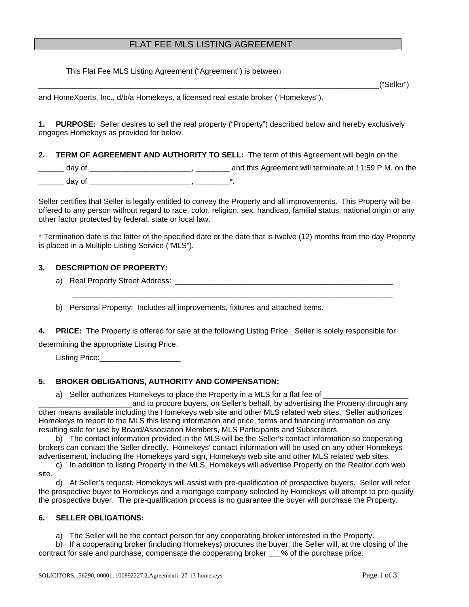# FLAT FEE MLS LISTING AGREEMENT

This Flat Fee MLS Listing Agreement ("Agreement") is between

\_\_\_\_\_\_\_\_\_\_\_\_\_\_\_\_\_\_\_\_\_\_\_\_\_\_\_\_\_\_\_\_\_\_\_\_\_\_\_\_\_\_\_\_\_\_\_\_\_\_\_\_\_\_\_\_\_\_\_\_\_\_\_\_\_\_\_\_\_\_\_\_\_\_\_\_\_\_\_\_("Seller")

and HomeXperts, Inc., d/b/a Homekeys, a licensed real estate broker ("Homekeys").

**1. PURPOSE:** Seller desires to sell the real property ("Property") described below and hereby exclusively engages Homekeys as provided for below.

### **2. TERM OF AGREEMENT AND AUTHORITY TO SELL:** The term of this Agreement will begin on the

\_\_\_\_\_\_ day of \_\_\_\_\_\_\_\_\_\_\_\_\_\_\_\_\_\_\_\_\_\_\_\_, \_\_\_\_\_\_\_\_ and this Agreement will terminate at 11:59 P.M. on the \_\_\_\_\_\_ day of \_\_\_\_\_\_\_\_\_\_\_\_\_\_\_\_\_\_\_\_\_\_\_\_, \_\_\_\_\_\_\_\_\*.

Seller certifies that Seller is legally entitled to convey the Property and all improvements. This Property will be offered to any person without regard to race, color, religion, sex, handicap, familial status, national origin or any other factor protected by federal, state or local law.

\* Termination date is the latter of the specified date or the date that is twelve (12) months from the day Property is placed in a Multiple Listing Service ("MLS").

### **3. DESCRIPTION OF PROPERTY:**

a) Real Property Street Address: **Example 20** and the street and the street and the street and the street and the street and the street and the street and the street and the street and the street and the street and the str

b) Personal Property: Includes all improvements, fixtures and attached items.

**4. PRICE:** The Property is offered for sale at the following Listing Price. Seller is solely responsible for determining the appropriate Listing Price.

\_\_\_\_\_\_\_\_\_\_\_\_\_\_\_\_\_\_\_\_\_\_\_\_\_\_\_\_\_\_\_\_\_\_\_\_\_\_\_\_\_\_\_\_\_\_\_\_\_\_\_\_\_\_\_\_\_\_\_\_\_\_\_\_\_\_\_\_\_\_\_\_\_\_\_

Listing Price:\_\_\_\_\_\_\_\_\_\_\_\_\_\_\_\_\_\_\_

# **5. BROKER OBLIGATIONS, AUTHORITY AND COMPENSATION:**

a) Seller authorizes Homekeys to place the Property in a MLS for a flat fee of

\_\_\_\_\_\_\_\_\_\_\_\_\_\_\_\_\_\_\_\_\_\_and to procure buyers, on Seller's behalf, by advertising the Property through any other means available including the Homekeys web site and other MLS related web sites. Seller authorizes Homekeys to report to the MLS this listing information and price, terms and financing information on any resulting sale for use by Board/Association Members, MLS Participants and Subscribers.

 b) The contact information provided in the MLS will be the Seller's contact information so cooperating brokers can contact the Seller directly. Homekeys' contact information will be used on any other Homekeys advertisement, including the Homekeys yard sign, Homekeys web site and other MLS related web sites.

 c) In addition to listing Property in the MLS, Homekeys will advertise Property on the Realtor.com web site.

 d) At Seller's request, Homekeys will assist with pre-qualification of prospective buyers. Seller will refer the prospective buyer to Homekeys and a mortgage company selected by Homekeys will attempt to pre-qualify the prospective buyer. The pre-qualification process is no guarantee the buyer will purchase the Property.

### **6. SELLER OBLIGATIONS:**

a) The Seller will be the contact person for any cooperating broker interested in the Property.

 b) If a cooperating broker (including Homekeys) procures the buyer, the Seller will, at the closing of the contract for sale and purchase, compensate the cooperating broker \_\_\_% of the purchase price.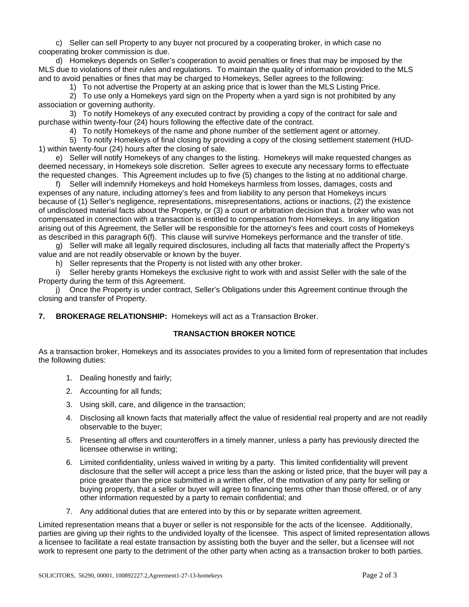c) Seller can sell Property to any buyer not procured by a cooperating broker, in which case no cooperating broker commission is due.

 d) Homekeys depends on Seller's cooperation to avoid penalties or fines that may be imposed by the MLS due to violations of their rules and regulations. To maintain the quality of information provided to the MLS and to avoid penalties or fines that may be charged to Homekeys, Seller agrees to the following:

1) To not advertise the Property at an asking price that is lower than the MLS Listing Price.

 2) To use only a Homekeys yard sign on the Property when a yard sign is not prohibited by any association or governing authority.

 3) To notify Homekeys of any executed contract by providing a copy of the contract for sale and purchase within twenty-four (24) hours following the effective date of the contract.

4) To notify Homekeys of the name and phone number of the settlement agent or attorney.

 5) To notify Homekeys of final closing by providing a copy of the closing settlement statement (HUD-1) within twenty-four (24) hours after the closing of sale.

 e) Seller will notify Homekeys of any changes to the listing. Homekeys will make requested changes as deemed necessary, in Homekeys sole discretion. Seller agrees to execute any necessary forms to effectuate the requested changes. This Agreement includes up to five (5) changes to the listing at no additional charge.

Seller will indemnify Homekeys and hold Homekeys harmless from losses, damages, costs and expenses of any nature, including attorney's fees and from liability to any person that Homekeys incurs because of (1) Seller's negligence, representations, misrepresentations, actions or inactions, (2) the existence of undisclosed material facts about the Property, or (3) a court or arbitration decision that a broker who was not compensated in connection with a transaction is entitled to compensation from Homekeys. In any litigation arising out of this Agreement, the Seller will be responsible for the attorney's fees and court costs of Homekeys as described in this paragraph 6(f). This clause will survive Homekeys performance and the transfer of title.

 g) Seller will make all legally required disclosures, including all facts that materially affect the Property's value and are not readily observable or known by the buyer.

h) Seller represents that the Property is not listed with any other broker.

Seller hereby grants Homekeys the exclusive right to work with and assist Seller with the sale of the Property during the term of this Agreement.

 j) Once the Property is under contract, Seller's Obligations under this Agreement continue through the closing and transfer of Property.

**7. BROKERAGE RELATIONSHIP:** Homekeys will act as a Transaction Broker.

#### **TRANSACTION BROKER NOTICE**

As a transaction broker, Homekeys and its associates provides to you a limited form of representation that includes the following duties:

- 1. Dealing honestly and fairly;
- 2. Accounting for all funds;
- 3. Using skill, care, and diligence in the transaction;
- 4. Disclosing all known facts that materially affect the value of residential real property and are not readily observable to the buyer;
- 5. Presenting all offers and counteroffers in a timely manner, unless a party has previously directed the licensee otherwise in writing;
- 6. Limited confidentiality, unless waived in writing by a party. This limited confidentiality will prevent disclosure that the seller will accept a price less than the asking or listed price, that the buyer will pay a price greater than the price submitted in a written offer, of the motivation of any party for selling or buying property, that a seller or buyer will agree to financing terms other than those offered, or of any other information requested by a party to remain confidential; and
- 7. Any additional duties that are entered into by this or by separate written agreement.

Limited representation means that a buyer or seller is not responsible for the acts of the licensee. Additionally, parties are giving up their rights to the undivided loyalty of the licensee. This aspect of limited representation allows a licensee to facilitate a real estate transaction by assisting both the buyer and the seller, but a licensee will not work to represent one party to the detriment of the other party when acting as a transaction broker to both parties.